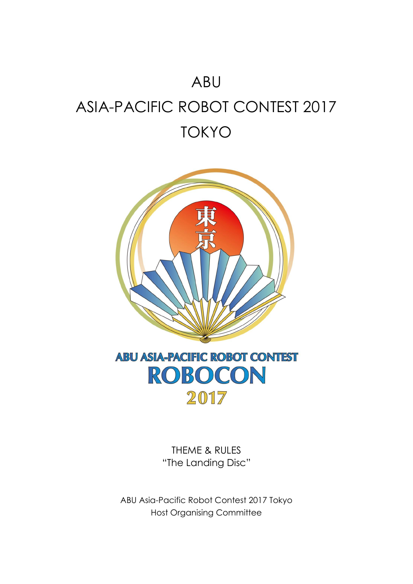# ABU ASIA-PACIFIC ROBOT CONTEST 2017 TOKYO



THEME & RULES "The Landing Disc"

ABU Asia-Pacific Robot Contest 2017 Tokyo Host Organising Committee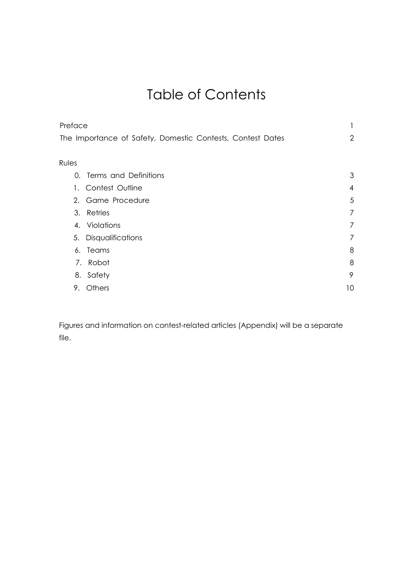# Table of Contents

| Preface                                                    |                |
|------------------------------------------------------------|----------------|
| The Importance of Safety, Domestic Contests, Contest Dates | $\overline{2}$ |
|                                                            |                |
| Rules                                                      |                |
| 0. Terms and Definitions                                   | 3              |
| Contest Outline<br>1.                                      | $\overline{4}$ |
| 2. Game Procedure                                          | 5              |
| 3. Retries                                                 | 7              |
| 4. Violations                                              | 7              |
| 5. Disqualifications                                       | 7              |
| 6. Teams                                                   | 8              |
| 7. Robot                                                   | 8              |
| 8. Safety                                                  | 9              |
| Others<br>9.                                               | 10             |

Figures and information on contest-related articles (Appendix) will be a separate file.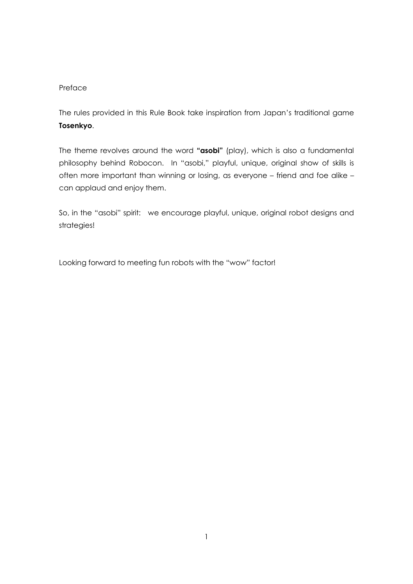#### Preface

The rules provided in this Rule Book take inspiration from Japan's traditional game **Tosenkyo**.

The theme revolves around the word **"asobi"** (play), which is also a fundamental philosophy behind Robocon. In "asobi," playful, unique, original show of skills is often more important than winning or losing, as everyone – friend and foe alike – can applaud and enjoy them.

So, in the "asobi" spirit: we encourage playful, unique, original robot designs and strategies!

Looking forward to meeting fun robots with the "wow" factor!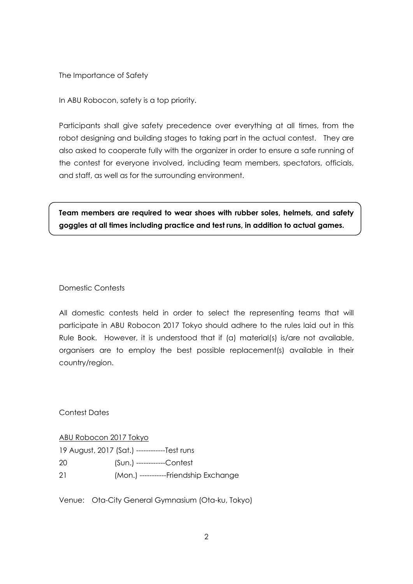The Importance of Safety

In ABU Robocon, safety is a top priority.

Participants shall give safety precedence over everything at all times, from the robot designing and building stages to taking part in the actual contest. They are also asked to cooperate fully with the organizer in order to ensure a safe running of the contest for everyone involved, including team members, spectators, officials, and staff, as well as for the surrounding environment.

**Team members are required to wear shoes with rubber soles, helmets, and safety goggles at all times including practice and test runs, in addition to actual games.**

#### Domestic Contests

All domestic contests held in order to select the representing teams that will participate in ABU Robocon 2017 Tokyo should adhere to the rules laid out in this Rule Book. However, it is understood that if (a) material(s) is/are not available, organisers are to employ the best possible replacement(s) available in their country/region.

Contest Dates

ABU Robocon 2017 Tokyo 19 August, 2017 (Sat.) ------------Test runs 20 (Sun.) ------------Contest

21 (Mon.) -----------Friendship Exchange

Venue: Ota-City General Gymnasium (Ota-ku, Tokyo)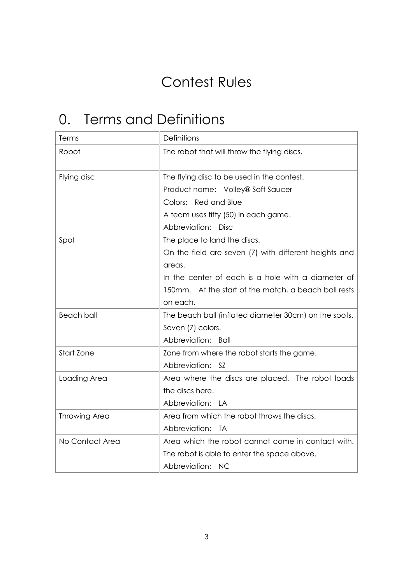# Contest Rules

# 0. Terms and Definitions

| Terms                | Definitions                                           |
|----------------------|-------------------------------------------------------|
| Robot                | The robot that will throw the flying discs.           |
| Flying disc          | The flying disc to be used in the contest.            |
|                      | Product name: Volley® Soft Saucer                     |
|                      | Colors: Red and Blue                                  |
|                      | A team uses fifty (50) in each game.                  |
|                      | Abbreviation: Disc                                    |
| Spot                 | The place to land the discs.                          |
|                      | On the field are seven (7) with different heights and |
|                      | areas.                                                |
|                      | In the center of each is a hole with a diameter of    |
|                      | 150mm. At the start of the match, a beach ball rests  |
|                      | on each.                                              |
| <b>Beach ball</b>    | The beach ball (inflated diameter 30cm) on the spots. |
|                      | Seven (7) colors.                                     |
|                      | Abbreviation:<br>Ball                                 |
| Start Zone           | Zone from where the robot starts the game.            |
|                      | Abbreviation: SZ                                      |
| Loading Area         | Area where the discs are placed. The robot loads      |
|                      | the discs here.                                       |
|                      | Abbreviation: LA                                      |
| <b>Throwing Area</b> | Area from which the robot throws the discs.           |
|                      | Abbreviation:<br><b>TA</b>                            |
| No Contact Area      | Area which the robot cannot come in contact with.     |
|                      | The robot is able to enter the space above.           |
|                      | Abbreviation: NC                                      |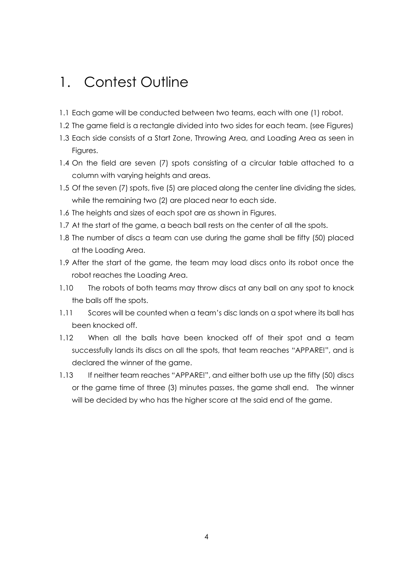### 1. Contest Outline

- 1.1 Each game will be conducted between two teams, each with one (1) robot.
- 1.2 The game field is a rectangle divided into two sides for each team. (see Figures)
- 1.3 Each side consists of a Start Zone, Throwing Area, and Loading Area as seen in Figures.
- 1.4 On the field are seven (7) spots consisting of a circular table attached to a column with varying heights and areas.
- 1.5 Of the seven (7) spots, five (5) are placed along the center line dividing the sides, while the remaining two (2) are placed near to each side.
- 1.6 The heights and sizes of each spot are as shown in Figures.
- 1.7 At the start of the game, a beach ball rests on the center of all the spots.
- 1.8 The number of discs a team can use during the game shall be fifty (50) placed at the Loading Area.
- 1.9 After the start of the game, the team may load discs onto its robot once the robot reaches the Loading Area.
- 1.10 The robots of both teams may throw discs at any ball on any spot to knock the balls off the spots.
- 1.11 Scores will be counted when a team's disc lands on a spot where its ball has been knocked off.
- 1.12 When all the balls have been knocked off of their spot and a team successfully lands its discs on all the spots, that team reaches "APPARE!", and is declared the winner of the game.
- 1.13 If neither team reaches "APPARE!", and either both use up the fifty (50) discs or the game time of three (3) minutes passes, the game shall end. The winner will be decided by who has the higher score at the said end of the game.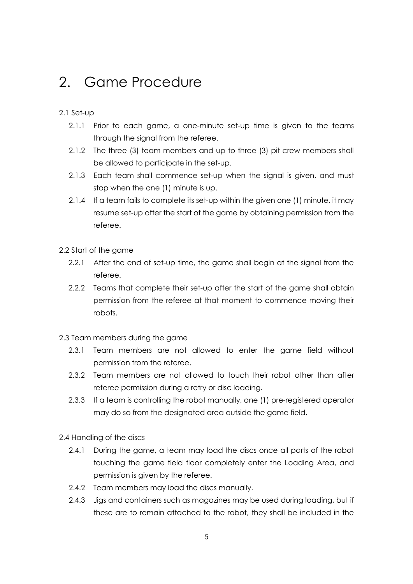### 2. Game Procedure

#### 2.1 Set-up

- 2.1.1 Prior to each game, a one-minute set-up time is given to the teams through the signal from the referee.
- 2.1.2 The three (3) team members and up to three (3) pit crew members shall be allowed to participate in the set-up.
- 2.1.3 Each team shall commence set-up when the signal is given, and must stop when the one (1) minute is up.
- 2.1.4 If a team fails to complete its set-up within the given one (1) minute, it may resume set-up after the start of the game by obtaining permission from the referee.
- 2.2 Start of the game
	- 2.2.1 After the end of set-up time, the game shall begin at the signal from the referee.
	- 2.2.2 Teams that complete their set-up after the start of the game shall obtain permission from the referee at that moment to commence moving their robots.
- 2.3 Team members during the game
	- 2.3.1 Team members are not allowed to enter the game field without permission from the referee.
	- 2.3.2 Team members are not allowed to touch their robot other than after referee permission during a retry or disc loading.
	- 2.3.3 If a team is controlling the robot manually, one (1) pre-registered operator may do so from the designated area outside the game field.

2.4 Handling of the discs

- 2.4.1 During the game, a team may load the discs once all parts of the robot touching the game field floor completely enter the Loading Area, and permission is given by the referee.
- 2.4.2 Team members may load the discs manually.
- 2.4.3 Jigs and containers such as magazines may be used during loading, but if these are to remain attached to the robot, they shall be included in the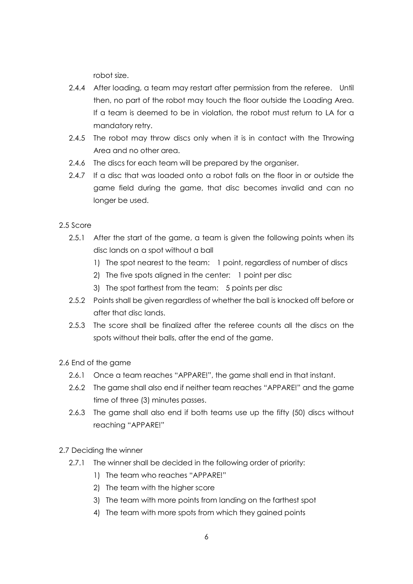robot size.

- 2.4.4 After loading, a team may restart after permission from the referee. Until then, no part of the robot may touch the floor outside the Loading Area. If a team is deemed to be in violation, the robot must return to LA for a mandatory retry.
- 2.4.5 The robot may throw discs only when it is in contact with the Throwing Area and no other area.
- 2.4.6 The discs for each team will be prepared by the organiser.
- 2.4.7 If a disc that was loaded onto a robot falls on the floor in or outside the game field during the game, that disc becomes invalid and can no longer be used.

#### 2.5 Score

- 2.5.1 After the start of the game, a team is given the following points when its disc lands on a spot without a ball
	- 1) The spot nearest to the team: 1 point, regardless of number of discs
	- 2) The five spots aligned in the center: 1 point per disc
	- 3) The spot farthest from the team: 5 points per disc
- 2.5.2 Points shall be given regardless of whether the ball is knocked off before or after that disc lands.
- 2.5.3 The score shall be finalized after the referee counts all the discs on the spots without their balls, after the end of the game.

### 2.6 End of the game

- 2.6.1 Once a team reaches "APPARE!", the game shall end in that instant.
- 2.6.2 The game shall also end if neither team reaches "APPARE!" and the game time of three (3) minutes passes.
- 2.6.3 The game shall also end if both teams use up the fifty (50) discs without reaching "APPARE!"
- 2.7 Deciding the winner
	- 2.7.1 The winner shall be decided in the following order of priority:
		- 1) The team who reaches "APPARE!"
		- 2) The team with the higher score
		- 3) The team with more points from landing on the farthest spot
		- 4) The team with more spots from which they gained points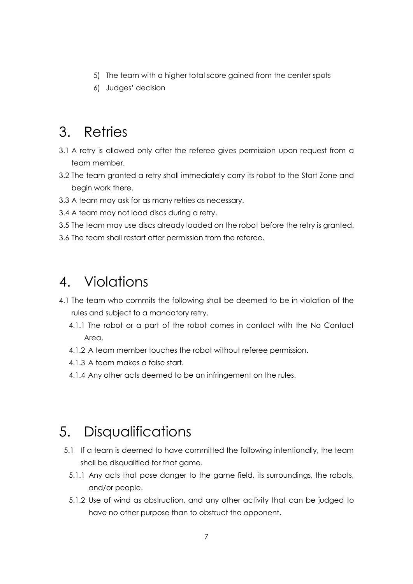- 5) The team with a higher total score gained from the center spots
- 6) Judges' decision

### 3. Retries

- 3.1 A retry is allowed only after the referee gives permission upon request from a team member.
- 3.2 The team granted a retry shall immediately carry its robot to the Start Zone and begin work there.
- 3.3 A team may ask for as many retries as necessary.
- 3.4 A team may not load discs during a retry.
- 3.5 The team may use discs already loaded on the robot before the retry is granted.
- 3.6 The team shall restart after permission from the referee.

### 4. Violations

- 4.1 The team who commits the following shall be deemed to be in violation of the rules and subject to a mandatory retry.
	- 4.1.1 The robot or a part of the robot comes in contact with the No Contact Area.
	- 4.1.2 A team member touches the robot without referee permission.
	- 4.1.3 A team makes a false start.
	- 4.1.4 Any other acts deemed to be an infringement on the rules.

### 5. Disqualifications

- 5.1 If a team is deemed to have committed the following intentionally, the team shall be disqualified for that game.
	- 5.1.1 Any acts that pose danger to the game field, its surroundings, the robots, and/or people.
	- 5.1.2 Use of wind as obstruction, and any other activity that can be judged to have no other purpose than to obstruct the opponent.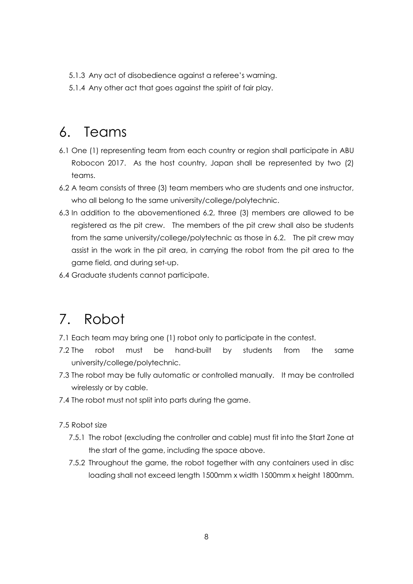- 5.1.3 Any act of disobedience against a referee's warning.
- 5.1.4 Any other act that goes against the spirit of fair play.

# 6. Teams

- 6.1 One (1) representing team from each country or region shall participate in ABU Robocon 2017. As the host country, Japan shall be represented by two (2) teams.
- 6.2 A team consists of three (3) team members who are students and one instructor, who all belong to the same university/college/polytechnic.
- 6.3 In addition to the abovementioned 6.2, three (3) members are allowed to be registered as the pit crew. The members of the pit crew shall also be students from the same university/college/polytechnic as those in 6.2. The pit crew may assist in the work in the pit area, in carrying the robot from the pit area to the game field, and during set-up.
- 6.4 Graduate students cannot participate.

# 7. Robot

- 7.1 Each team may bring one (1) robot only to participate in the contest.
- 7.2 The robot must be hand-built by students from the same university/college/polytechnic.
- 7.3 The robot may be fully automatic or controlled manually. It may be controlled wirelessly or by cable.
- 7.4 The robot must not split into parts during the game.

7.5 Robot size

- 7.5.1 The robot (excluding the controller and cable) must fit into the Start Zone at the start of the game, including the space above.
- 7.5.2 Throughout the game, the robot together with any containers used in disc loading shall not exceed length 1500mm x width 1500mm x height 1800mm.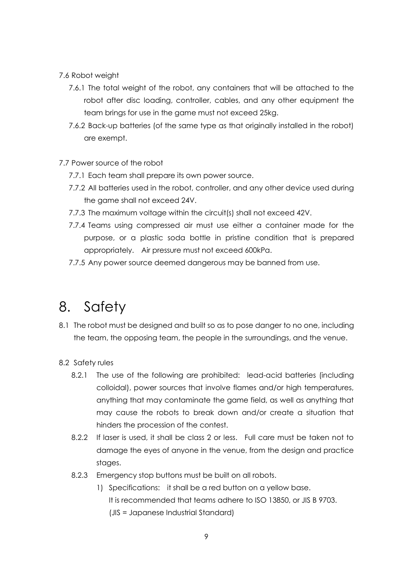#### 7.6 Robot weight

- 7.6.1 The total weight of the robot, any containers that will be attached to the robot after disc loading, controller, cables, and any other equipment the team brings for use in the game must not exceed 25kg.
- 7.6.2 Back-up batteries (of the same type as that originally installed in the robot) are exempt.

#### 7.7 Power source of the robot

- 7.7.1 Each team shall prepare its own power source.
- 7.7.2 All batteries used in the robot, controller, and any other device used during the game shall not exceed 24V.
- 7.7.3 The maximum voltage within the circuit(s) shall not exceed 42V.
- 7.7.4 Teams using compressed air must use either a container made for the purpose, or a plastic soda bottle in pristine condition that is prepared appropriately. Air pressure must not exceed 600kPa.
- 7.7.5 Any power source deemed dangerous may be banned from use.

### 8. Safety

8.1 The robot must be designed and built so as to pose danger to no one, including the team, the opposing team, the people in the surroundings, and the venue.

### 8.2 Safety rules

- 8.2.1 The use of the following are prohibited: lead-acid batteries (including colloidal), power sources that involve flames and/or high temperatures, anything that may contaminate the game field, as well as anything that may cause the robots to break down and/or create a situation that hinders the procession of the contest.
- 8.2.2 If laser is used, it shall be class 2 or less. Full care must be taken not to damage the eyes of anyone in the venue, from the design and practice stages.
- 8.2.3 Emergency stop buttons must be built on all robots.
	- 1) Specifications: it shall be a red button on a yellow base. It is recommended that teams adhere to ISO 13850, or JIS B 9703. (JIS = Japanese Industrial Standard)